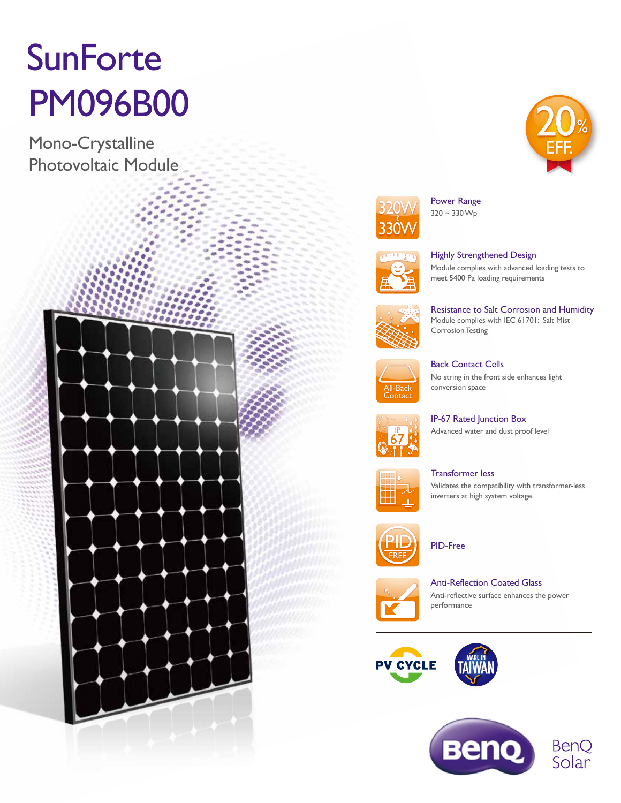# **SunForte** PM096B00

Mono-Crystalline Photovoltaic Module







Power Range  $320 - 330 W_{p}$ 



Highly Strengthened Design Module complies with advanced loading tests to meet 5400 Pa loading requirements



Resistance to Salt Corrosion and Humidity Module complies with IEC 61701: Salt Mist Corrosion Testing



Back Contact Cells No string in the front side enhances light conversion space



IP-67 Rated Junction Box Advanced water and dust proof level



Transformer less Validates the compatibility with transformer-less inverters at high system voltage.



PID-Free



Anti-Reflection Coated Glass Anti-reflective surface enhances the power performance